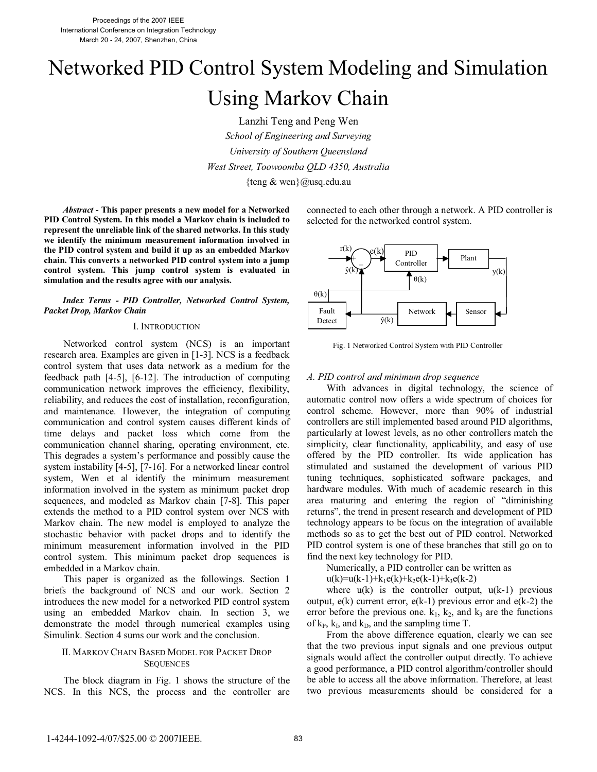# Networked PID Control System Modeling and Simulation Using Markov Chain

Lanzhi Teng and Peng Wen *School of Engineering and Surveying University of Southern Queensland West Street, Toowoomba QLD 4350, Australia*  {teng & wen}@usq.edu.au

*Abstract -* **This paper presents a new model for a Networked PID Control System. In this model a Markov chain is included to represent the unreliable link of the shared networks. In this study we identify the minimum measurement information involved in the PID control system and build it up as an embedded Markov chain. This converts a networked PID control system into a jump control system. This jump control system is evaluated in simulation and the results agree with our analysis.**

*Index Terms - PID Controller, Networked Control System, Packet Drop, Markov Chain*

#### I. INTRODUCTION

Networked control system (NCS) is an important research area. Examples are given in [1-3]. NCS is a feedback control system that uses data network as a medium for the feedback path [4-5], [6-12]. The introduction of computing communication network improves the efficiency, flexibility, reliability, and reduces the cost of installation, reconfiguration, and maintenance. However, the integration of computing communication and control system causes different kinds of time delays and packet loss which come from the communication channel sharing, operating environment, etc. This degrades a system's performance and possibly cause the system instability [4-5], [7-16]. For a networked linear control system, Wen et al identify the minimum measurement information involved in the system as minimum packet drop sequences, and modeled as Markov chain [7-8]. This paper extends the method to a PID control system over NCS with Markov chain. The new model is employed to analyze the stochastic behavior with packet drops and to identify the minimum measurement information involved in the PID control system. This minimum packet drop sequences is embedded in a Markov chain.

This paper is organized as the followings. Section 1 briefs the background of NCS and our work. Section 2 introduces the new model for a networked PID control system using an embedded Markov chain. In section 3, we demonstrate the model through numerical examples using Simulink. Section 4 sums our work and the conclusion.

# II. MARKOV CHAIN BASED MODEL FOR PACKET DROP **SEQUENCES**

The block diagram in Fig. 1 shows the structure of the NCS. In this NCS, the process and the controller are

connected to each other through a network. A PID controller is selected for the networked control system.



Fig. 1 Networked Control System with PID Controller

## *A. PID control and minimum drop sequence*

With advances in digital technology, the science of automatic control now offers a wide spectrum of choices for control scheme. However, more than 90% of industrial controllers are still implemented based around PID algorithms, particularly at lowest levels, as no other controllers match the simplicity, clear functionality, applicability, and easy of use offered by the PID controller. Its wide application has stimulated and sustained the development of various PID tuning techniques, sophisticated software packages, and hardware modules. With much of academic research in this area maturing and entering the region of "diminishing returns", the trend in present research and development of PID technology appears to be focus on the integration of available methods so as to get the best out of PID control. Networked PID control system is one of these branches that still go on to find the next key technology for PID.

Numerically, a PID controller can be written as

 $u(k)=u(k-1)+k_1e(k)+k_2e(k-1)+k_3e(k-2)$ 

where  $u(k)$  is the controller output,  $u(k-1)$  previous output,  $e(k)$  current error,  $e(k-1)$  previous error and  $e(k-2)$  the error before the previous one.  $k_1$ ,  $k_2$ , and  $k_3$  are the functions of  $k_P$ ,  $k_I$ , and  $k_D$ , and the sampling time T.

From the above difference equation, clearly we can see that the two previous input signals and one previous output signals would affect the controller output directly. To achieve a good performance, a PID control algorithm/controller should be able to access all the above information. Therefore, at least two previous measurements should be considered for a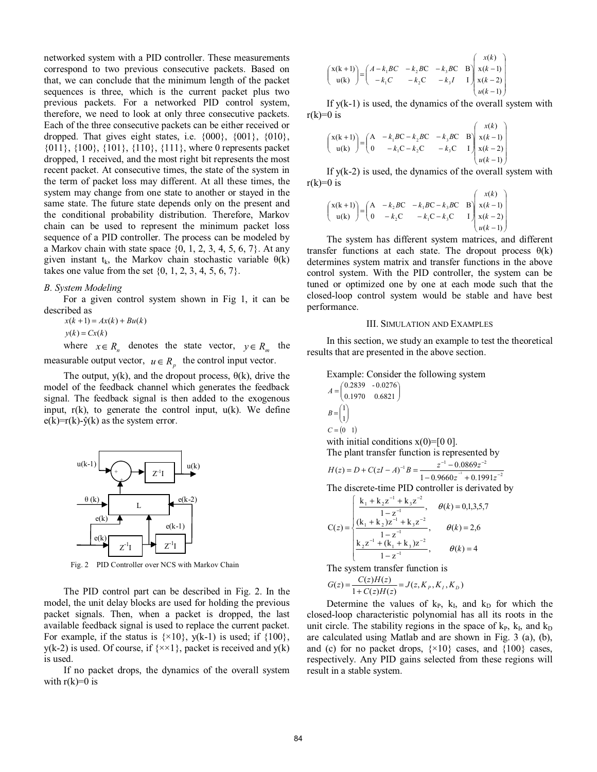networked system with a PID controller. These measurements correspond to two previous consecutive packets. Based on that, we can conclude that the minimum length of the packet sequences is three, which is the current packet plus two previous packets. For a networked PID control system, therefore, we need to look at only three consecutive packets. Each of the three consecutive packets can be either received or dropped. That gives eight states, i.e.  $\{000\}$ ,  $\{001\}$ ,  $\{010\}$ , {011}, {100}, {101}, {110}, {111}, where 0 represents packet dropped, 1 received, and the most right bit represents the most recent packet. At consecutive times, the state of the system in the term of packet loss may different. At all these times, the system may change from one state to another or stayed in the same state. The future state depends only on the present and the conditional probability distribution. Therefore, Markov chain can be used to represent the minimum packet loss sequence of a PID controller. The process can be modeled by a Markov chain with state space  $\{0, 1, 2, 3, 4, 5, 6, 7\}$ . At any given instant t<sub>k</sub>, the Markov chain stochastic variable  $\theta(k)$ takes one value from the set  $\{0, 1, 2, 3, 4, 5, 6, 7\}.$ 

## *B. System Modeling*

For a given control system shown in Fig 1, it can be described as

 $x(k + 1) = Ax(k) + Bu(k)$ 

 $y(k) = Cx(k)$ 

where  $x \in R_n$  denotes the state vector,  $y \in R_m$  the measurable output vector,  $u \in R$ <sup>n</sup> the control input vector.

The output,  $y(k)$ , and the dropout process,  $\theta(k)$ , drive the model of the feedback channel which generates the feedback signal. The feedback signal is then added to the exogenous input,  $r(k)$ , to generate the control input,  $u(k)$ . We define  $e(k)=r(k)-\hat{y}(k)$  as the system error.



Fig. 2 PID Controller over NCS with Markov Chain

The PID control part can be described in Fig. 2. In the model, the unit delay blocks are used for holding the previous packet signals. Then, when a packet is dropped, the last available feedback signal is used to replace the current packet. For example, if the status is  $\{×10\}$ , y(k-1) is used; if  $\{100\}$ ,  $y(k-2)$  is used. Of course, if  $\{x \times 1\}$ , packet is received and  $y(k)$ is used.

If no packet drops, the dynamics of the overall system with  $r(k)=0$  is

$$
\begin{pmatrix} x(k+1) \ w(k) \end{pmatrix} = \begin{pmatrix} A - k_1 BC & -k_2 BC & -k_3 BC & B \ -k_1 C & -k_2 C & -k_3 I & I \end{pmatrix} \begin{pmatrix} x(k) \ x(k-1) \ x(k-2) \ w(k-1) \end{pmatrix}
$$

If  $y(k-1)$  is used, the dynamics of the overall system with  $r(k)=0$  is

$$
\begin{pmatrix} x(k+1) \ u(k) \end{pmatrix} = \begin{pmatrix} A & -k_1 BC - k_2 BC & -k_3 BC & B \\ 0 & -k_1 C - k_2 C & -k_3 C & I \end{pmatrix} \begin{pmatrix} x(k) \ x(k-1) \ x(k-2) \ u(k-1) \end{pmatrix}
$$

If  $y(k-2)$  is used, the dynamics of the overall system with  $r(k)=0$  is

$$
\begin{pmatrix} x(k+1) \ u(k) \end{pmatrix} = \begin{pmatrix} A & -k_2 BC & -k_1 BC - k_3 BC & B \ 0 & -k_2 C & -k_1 C - k_3 C & I \end{pmatrix} \begin{pmatrix} x(k) \ x(k-1) \ x(k-2) \ u(k-1) \end{pmatrix}
$$

The system has different system matrices, and different transfer functions at each state. The dropout process  $\theta(k)$ determines system matrix and transfer functions in the above control system. With the PID controller, the system can be tuned or optimized one by one at each mode such that the closed-loop control system would be stable and have best performance.

#### III. SIMULATION AND EXAMPLES

In this section, we study an example to test the theoretical results that are presented in the above section.

Example: Consider the following system  
\n
$$
A = \begin{pmatrix} 0.2839 & -0.0276 \\ 0.1970 & 0.6821 \end{pmatrix}
$$
\n
$$
B = \begin{pmatrix} 1 \\ 1 \end{pmatrix}
$$
\n
$$
C = \begin{pmatrix} 0 & 1 \end{pmatrix}
$$
\nwith initial conditions x(0)= [0 0].

The plant transfer function is represented by

$$
H(z) = D + C(zI - A)^{-1}B = \frac{z^{-1} - 0.0869z^{-2}}{1 - 0.9660z^{-1} + 0.1991z^{-2}}
$$

The discrete-time PID controller is derivated by

$$
C(z) = \begin{cases} \frac{k_1 + k_2 z^{-1} + k_3 z^{-2}}{1 - z^{-1}}, & \theta(k) = 0,1,3,5,7\\ \frac{(k_1 + k_2)z^{-1} + k_3 z^{-2}}{1 - z^{-1}}, & \theta(k) = 2,6\\ \frac{k_2 z^{-1} + (k_1 + k_3)z^{-2}}{1 - z^{-1}}, & \theta(k) = 4 \end{cases}
$$

The system transfer function is

$$
G(z) = \frac{C(z)H(z)}{1 + C(z)H(z)} = J(z, K_p, K_l, K_p)
$$

Determine the values of  $k_P$ ,  $k_I$ , and  $k_D$  for which the closed-loop characteristic polynomial has all its roots in the unit circle. The stability regions in the space of  $k_P$ ,  $k_I$ , and  $k_D$ are calculated using Matlab and are shown in Fig. 3 (a), (b), and (c) for no packet drops,  $\{×10\}$  cases, and  $\{100\}$  cases, respectively. Any PID gains selected from these regions will result in a stable system.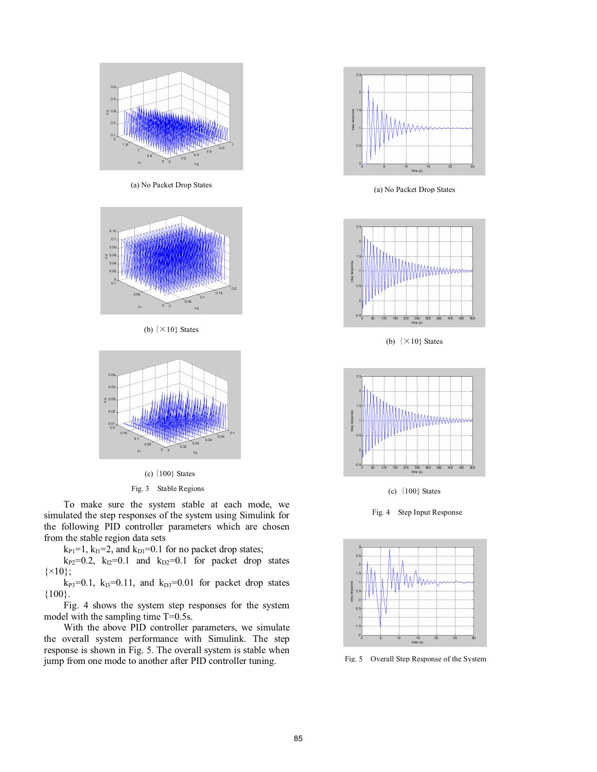

(a) No Packet Drop States



(b)  $\{ \times 10 \}$  States



(c)  $\{100\}$  States

# Fig. 3 Stable Regions

To make sure the system stable at each mode, we simulated the step responses of the system using Simulink for the following PID controller parameters which are chosen from the stable region data sets

 $k_{PI}$ =1,  $k_{II}$ =2, and  $k_{DI}$ =0.1 for no packet drop states;

 $k_{P2}=0.2$ ,  $k_{I2}=0.1$  and  $k_{D2}=0.1$  for packet drop states  $\{ \times 10 \};$ 

 $k_{P3}=0.1$ ,  $k_{I3}=0.11$ , and  $k_{D3}=0.01$  for packet drop states {100}.

Fig. 4 shows the system step responses for the system model with the sampling time T=0.5s.

With the above PID controller parameters, we simulate the overall system performance with Simulink. The step response is shown in Fig. 5. The overall system is stable when jump from one mode to another after PID controller tuning.



(a) No Packet Drop States



(b)  $\{ \times 10 \}$  States



(c)-100} States

Fig. 4 Step Input Response



Fig. 5 Overall Step Response of the System